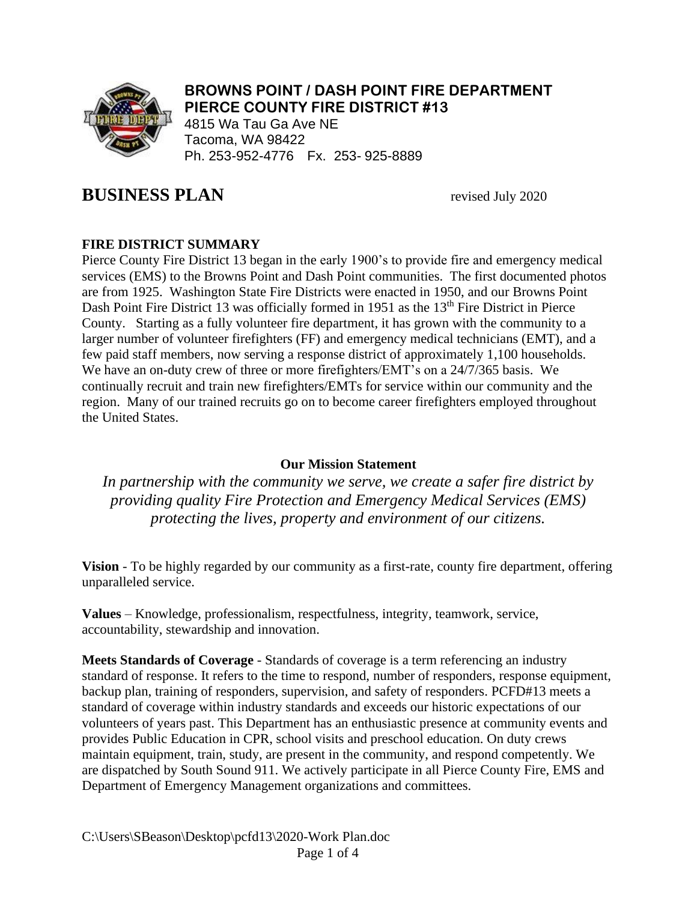

# **BROWNS POINT / DASH POINT FIRE DEPARTMENT PIERCE COUNTY FIRE DISTRICT #13**

4815 Wa Tau Ga Ave NE Tacoma, WA 98422 Ph. 253-952-4776 Fx. 253- 925-8889

# **BUSINESS PLAN** revised July 2020

# **FIRE DISTRICT SUMMARY**

Pierce County Fire District 13 began in the early 1900's to provide fire and emergency medical services (EMS) to the Browns Point and Dash Point communities. The first documented photos are from 1925. Washington State Fire Districts were enacted in 1950, and our Browns Point Dash Point Fire District 13 was officially formed in 1951 as the 13<sup>th</sup> Fire District in Pierce County. Starting as a fully volunteer fire department, it has grown with the community to a larger number of volunteer firefighters (FF) and emergency medical technicians (EMT), and a few paid staff members, now serving a response district of approximately 1,100 households. We have an on-duty crew of three or more firefighters/EMT's on a 24/7/365 basis. We continually recruit and train new firefighters/EMTs for service within our community and the region. Many of our trained recruits go on to become career firefighters employed throughout the United States.

#### **Our Mission Statement**

*In partnership with the community we serve, we create a safer fire district by providing quality Fire Protection and Emergency Medical Services (EMS) protecting the lives, property and environment of our citizens.* 

**Vision** - To be highly regarded by our community as a first-rate, county fire department, offering unparalleled service.

**Values** – Knowledge, professionalism, respectfulness, integrity, teamwork, service, accountability, stewardship and innovation.

**Meets Standards of Coverage** - Standards of coverage is a term referencing an industry standard of response. It refers to the time to respond, number of responders, response equipment, backup plan, training of responders, supervision, and safety of responders. PCFD#13 meets a standard of coverage within industry standards and exceeds our historic expectations of our volunteers of years past. This Department has an enthusiastic presence at community events and provides Public Education in CPR, school visits and preschool education. On duty crews maintain equipment, train, study, are present in the community, and respond competently. We are dispatched by South Sound 911. We actively participate in all Pierce County Fire, EMS and Department of Emergency Management organizations and committees.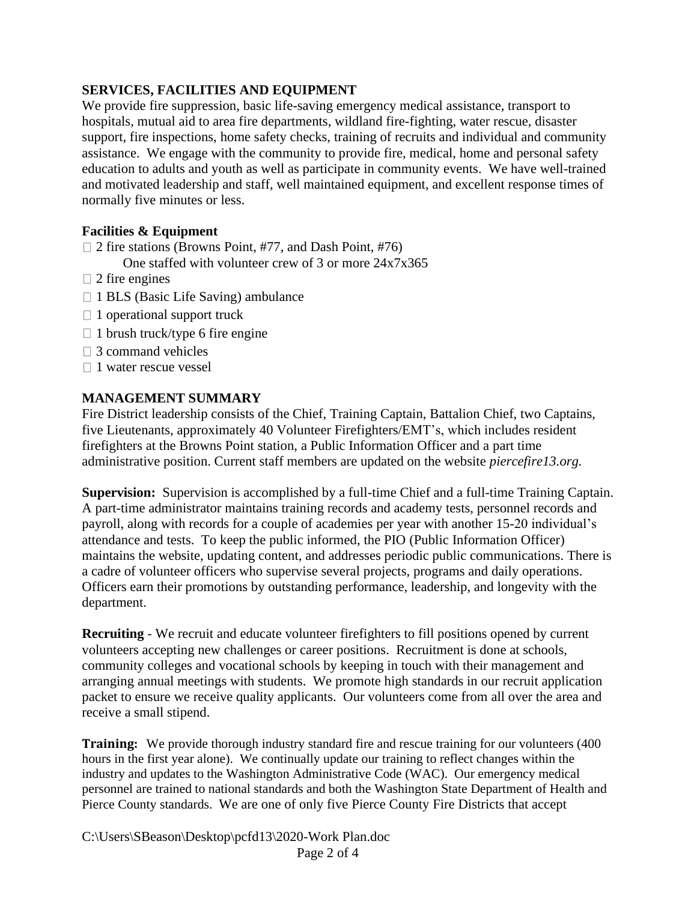## **SERVICES, FACILITIES AND EQUIPMENT**

We provide fire suppression, basic life-saving emergency medical assistance, transport to hospitals, mutual aid to area fire departments, wildland fire-fighting, water rescue, disaster support, fire inspections, home safety checks, training of recruits and individual and community assistance. We engage with the community to provide fire, medical, home and personal safety education to adults and youth as well as participate in community events. We have well-trained and motivated leadership and staff, well maintained equipment, and excellent response times of normally five minutes or less.

# **Facilities & Equipment**

 $\Box$  2 fire stations (Browns Point, #77, and Dash Point, #76)

One staffed with volunteer crew of 3 or more 24x7x365

- $\Box$  2 fire engines
- $\Box$  1 BLS (Basic Life Saving) ambulance
- $\Box$  1 operational support truck
- $\Box$  1 brush truck/type 6 fire engine
- $\Box$  3 command vehicles
- $\Box$  1 water rescue vessel

# **MANAGEMENT SUMMARY**

Fire District leadership consists of the Chief, Training Captain, Battalion Chief, two Captains, five Lieutenants, approximately 40 Volunteer Firefighters/EMT's, which includes resident firefighters at the Browns Point station, a Public Information Officer and a part time administrative position. Current staff members are updated on the website *piercefire13.org.*

**Supervision:** Supervision is accomplished by a full-time Chief and a full-time Training Captain. A part-time administrator maintains training records and academy tests, personnel records and payroll, along with records for a couple of academies per year with another 15-20 individual's attendance and tests. To keep the public informed, the PIO (Public Information Officer) maintains the website, updating content, and addresses periodic public communications. There is a cadre of volunteer officers who supervise several projects, programs and daily operations. Officers earn their promotions by outstanding performance, leadership, and longevity with the department.

**Recruiting** - We recruit and educate volunteer firefighters to fill positions opened by current volunteers accepting new challenges or career positions. Recruitment is done at schools, community colleges and vocational schools by keeping in touch with their management and arranging annual meetings with students. We promote high standards in our recruit application packet to ensure we receive quality applicants. Our volunteers come from all over the area and receive a small stipend.

**Training:** We provide thorough industry standard fire and rescue training for our volunteers (400 hours in the first year alone). We continually update our training to reflect changes within the industry and updates to the Washington Administrative Code (WAC). Our emergency medical personnel are trained to national standards and both the Washington State Department of Health and Pierce County standards. We are one of only five Pierce County Fire Districts that accept

C:\Users\SBeason\Desktop\pcfd13\2020-Work Plan.doc Page 2 of 4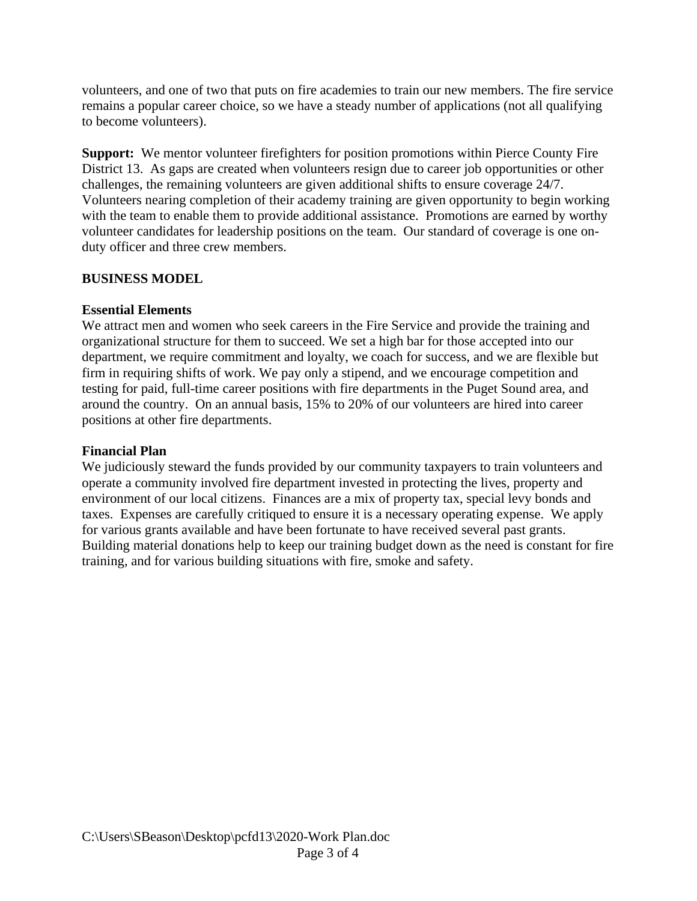volunteers, and one of two that puts on fire academies to train our new members. The fire service remains a popular career choice, so we have a steady number of applications (not all qualifying to become volunteers).

**Support:** We mentor volunteer firefighters for position promotions within Pierce County Fire District 13. As gaps are created when volunteers resign due to career job opportunities or other challenges, the remaining volunteers are given additional shifts to ensure coverage 24/7. Volunteers nearing completion of their academy training are given opportunity to begin working with the team to enable them to provide additional assistance. Promotions are earned by worthy volunteer candidates for leadership positions on the team. Our standard of coverage is one onduty officer and three crew members.

#### **BUSINESS MODEL**

# **Essential Elements**

We attract men and women who seek careers in the Fire Service and provide the training and organizational structure for them to succeed. We set a high bar for those accepted into our department, we require commitment and loyalty, we coach for success, and we are flexible but firm in requiring shifts of work. We pay only a stipend, and we encourage competition and testing for paid, full-time career positions with fire departments in the Puget Sound area, and around the country. On an annual basis, 15% to 20% of our volunteers are hired into career positions at other fire departments.

## **Financial Plan**

We judiciously steward the funds provided by our community taxpayers to train volunteers and operate a community involved fire department invested in protecting the lives, property and environment of our local citizens. Finances are a mix of property tax, special levy bonds and taxes. Expenses are carefully critiqued to ensure it is a necessary operating expense. We apply for various grants available and have been fortunate to have received several past grants. Building material donations help to keep our training budget down as the need is constant for fire training, and for various building situations with fire, smoke and safety.